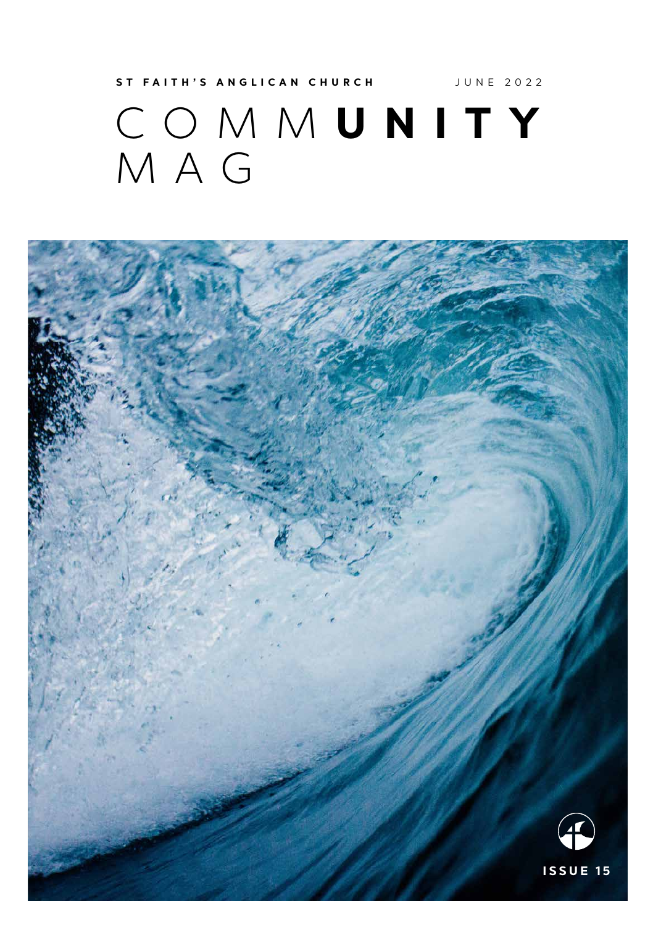## COMM **UNITY** MAG **ST FAITH'S ANGLICAN CHURCH JUNE 2022**

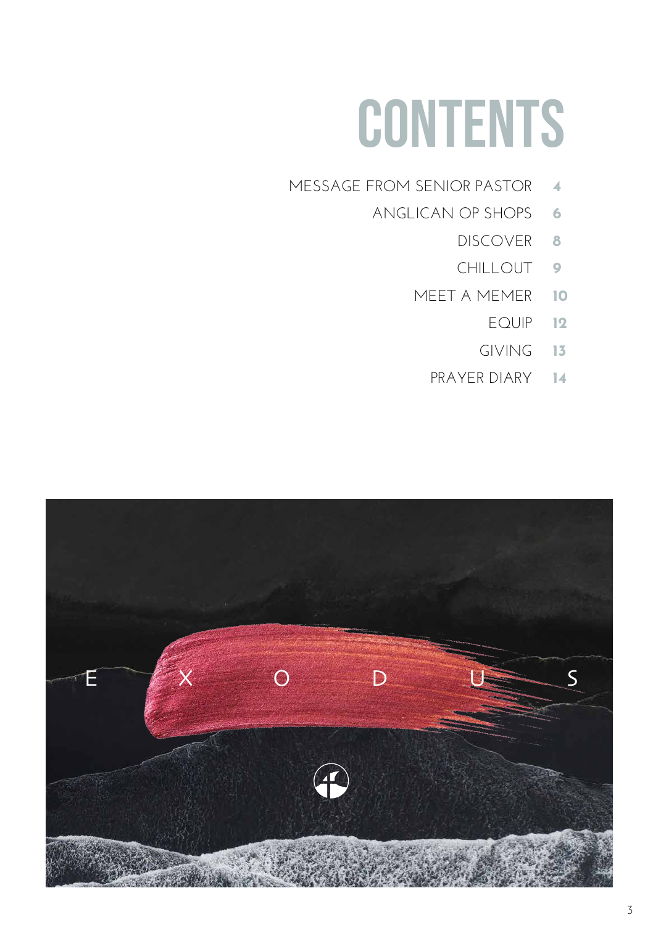# **CONTENTS**

- MESSAGE FROM SENIOR PASTOR **4**
	- ANGLICAN OP SHOPS **6**
- DISCOVER **8**
	- CHILLOUT **9**
	- MEET A MEMER **10**
		- EQUIP **12**
		- GIVING **13**
		- PRAYER DIARY **14**

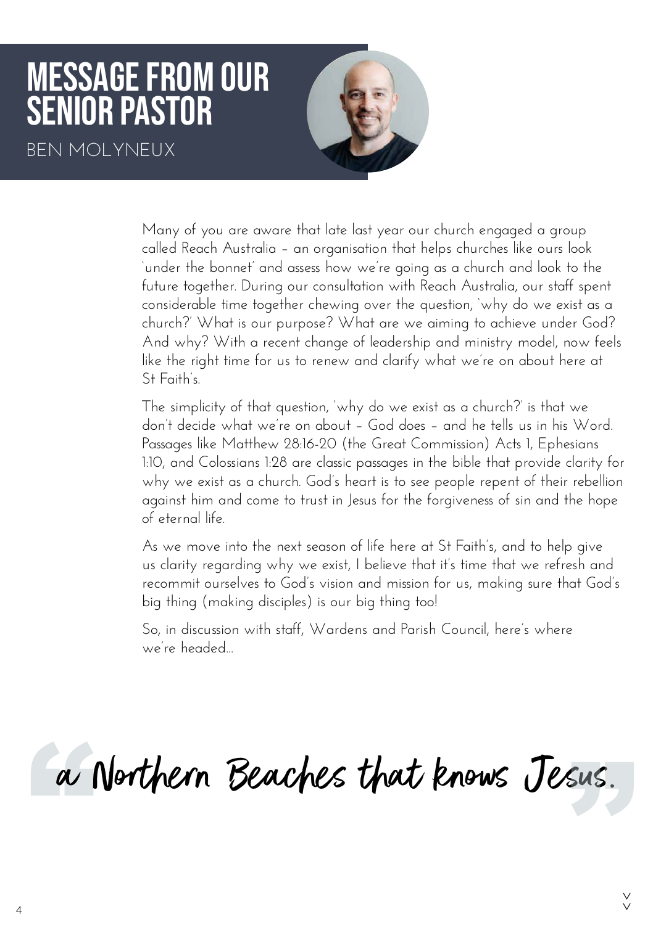## MESSAGE FROM OUR SENIOR pastor

BEN MOLYNEUX



Many of you are aware that late last year our church engaged a group called Reach Australia – an organisation that helps churches like ours look 'under the bonnet' and assess how we're going as a church and look to the future together. During our consultation with Reach Australia, our staff spent considerable time together chewing over the question, 'why do we exist as a church?' What is our purpose? What are we aiming to achieve under God? And why? With a recent change of leadership and ministry model, now feels like the right time for us to renew and clarify what we're on about here at St Faith's.

The simplicity of that question, 'why do we exist as a church?' is that we don't decide what we're on about – God does – and he tells us in his Word. Passages like Matthew 28:16-20 (the Great Commission) Acts 1, Ephesians 1:10, and Colossians 1:28 are classic passages in the bible that provide clarity for why we exist as a church. God's heart is to see people repent of their rebellion against him and come to trust in Jesus for the forgiveness of sin and the hope of eternal life.

As we move into the next season of life here at St Faith's, and to help give us clarity regarding why we exist, I believe that it's time that we refresh and recommit ourselves to God's vision and mission for us, making sure that God's big thing (making disciples) is our big thing too!

So, in discussion with staff, Wardens and Parish Council, here's where we're headed...

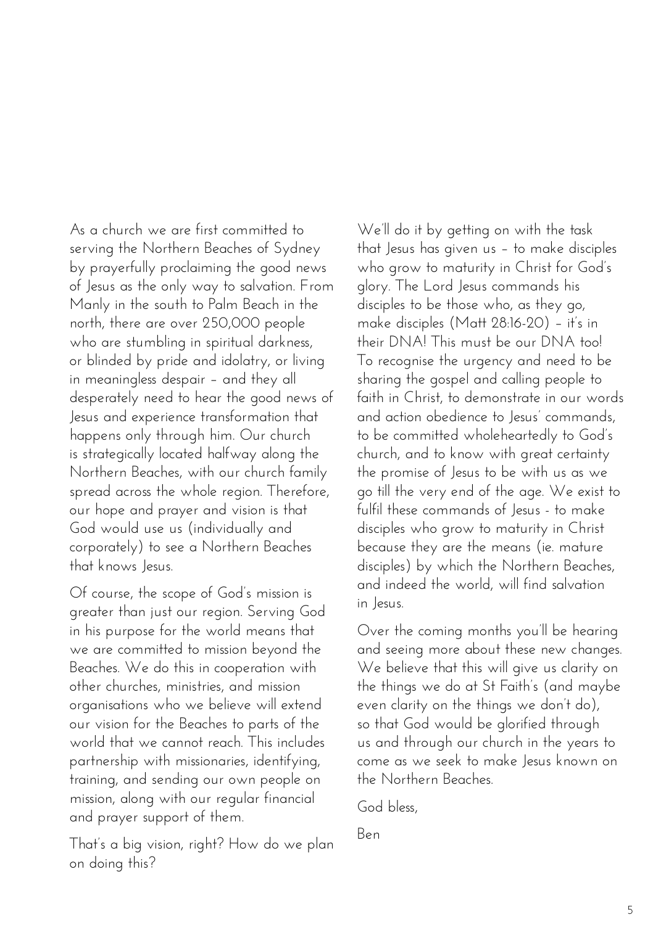As a church we are first committed to serving the Northern Beaches of Sydney by prayerfully proclaiming the good news of Jesus as the only way to salvation. From Manly in the south to Palm Beach in the north, there are over 250,000 people who are stumbling in spiritual darkness, or blinded by pride and idolatry, or living in meaningless despair – and they all desperately need to hear the good news of Jesus and experience transformation that happens only through him. Our church is strategically located halfway along the Northern Beaches, with our church family spread across the whole region. Therefore, our hope and prayer and vision is that God would use us (individually and corporately) to see a Northern Beaches that knows Jesus.

Of course, the scope of God's mission is greater than just our region. Serving God in his purpose for the world means that we are committed to mission beyond the Beaches. We do this in cooperation with other churches, ministries, and mission organisations who we believe will extend our vision for the Beaches to parts of the world that we cannot reach. This includes partnership with missionaries, identifying, training, and sending our own people on mission, along with our regular financial and prayer support of them.

That's a big vision, right? How do we plan on doing this?

We'll do it by getting on with the task that Jesus has given us – to make disciples who grow to maturity in Christ for God's glory. The Lord Jesus commands his disciples to be those who, as they go, make disciples (Matt 28:16-20) – it's in their DNA! This must be our DNA too! To recognise the urgency and need to be sharing the gospel and calling people to faith in Christ, to demonstrate in our words and action obedience to Jesus' commands, to be committed wholeheartedly to God's church, and to know with great certainty the promise of Jesus to be with us as we go till the very end of the age. We exist to fulfil these commands of Jesus - to make disciples who grow to maturity in Christ because they are the means (ie. mature disciples) by which the Northern Beaches, and indeed the world, will find salvation in Jesus.

Over the coming months you'll be hearing and seeing more about these new changes. We believe that this will give us clarity on the things we do at St Faith's (and maybe even clarity on the things we don't do), so that God would be glorified through us and through our church in the years to come as we seek to make Jesus known on the Northern Beaches.

God bless,

Ben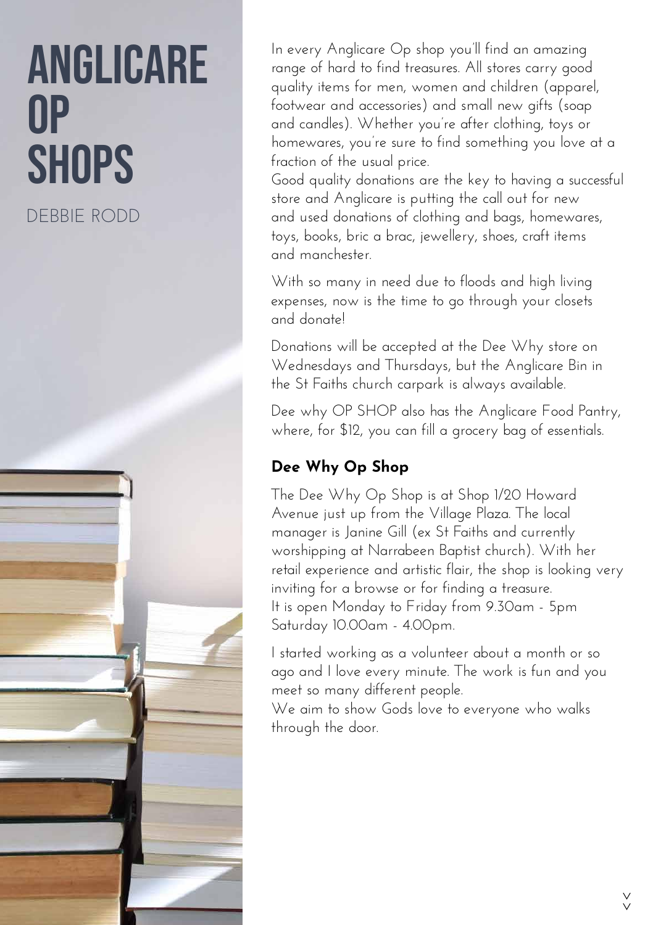# ANGLICA OP **SHOPS**

DEBBIE RODD

In every Anglicare Op shop you'll find an amazing range of hard to find treasures. All stores carry good quality items for men, women and children (apparel, footwear and accessories) and small new gifts (soap and candles). Whether you're after clothing, toys or homewares, you're sure to find something you love at a fraction of the usual price.

Good quality donations are the key to having a successful store and Anglicare is putting the call out for new and used donations of clothing and bags, homewares, toys, books, bric a brac, jewellery, shoes, craft items and manchester.

With so many in need due to floods and high living expenses, now is the time to go through your closets and donate!

Donations will be accepted at the Dee Why store on Wednesdays and Thursdays, but the Anglicare Bin in the St Faiths church carpark is always available.

Dee why OP SHOP also has the Anglicare Food Pantry, where, for \$12, you can fill a grocery bag of essentials.

#### **Dee Why Op Shop**

The Dee Why Op Shop is at Shop 1/20 Howard Avenue just up from the Village Plaza. The local manager is Janine Gill (ex St Faiths and currently worshipping at Narrabeen Baptist church). With her retail experience and artistic flair, the shop is looking very inviting for a browse or for finding a treasure. It is open Monday to Friday from 9.30am - 5pm Saturday 10.00am - 4.00pm.

I started working as a volunteer about a month or so ago and I love every minute. The work is fun and you meet so many different people.

We aim to show Gods love to everyone who walks through the door.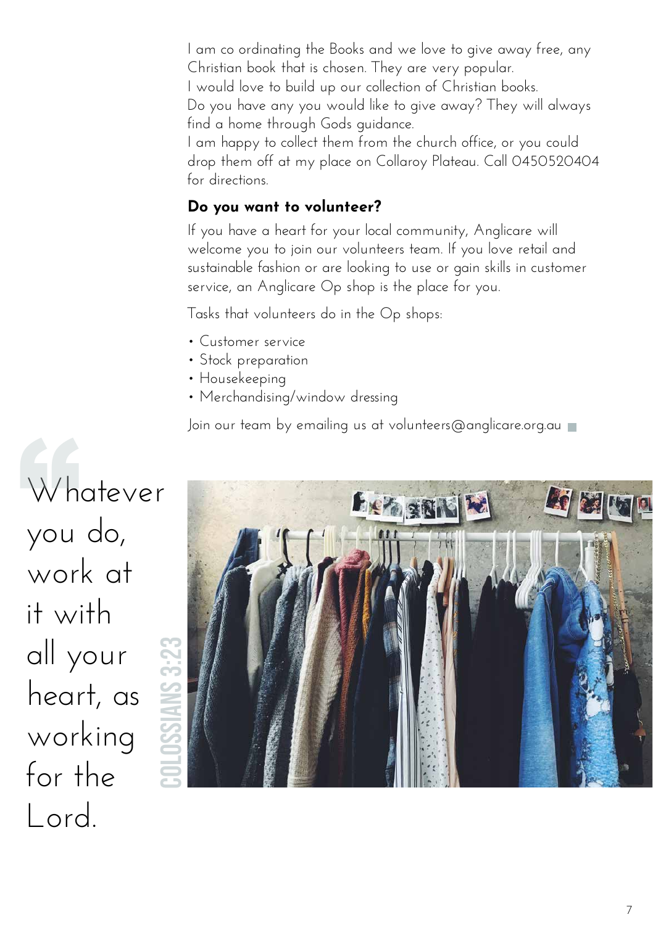I am co ordinating the Books and we love to give away free, any Christian book that is chosen. They are very popular. I would love to build up our collection of Christian books. Do you have any you would like to give away? They will always find a home through Gods guidance.

I am happy to collect them from the church office, or you could drop them off at my place on Collaroy Plateau. Call 0450520404 for directions.

#### **Do you want to volunteer?**

If you have a heart for your local community, Anglicare will welcome you to join our volunteers team. If you love retail and sustainable fashion or are looking to use or gain skills in customer service, an Anglicare Op shop is the place for you.

Tasks that volunteers do in the Op shops:

- Customer service
- Stock preparation
- Housekeeping
- Merchandising/window dressing

Join our team by emailing us at volunteers@anglicare.org.au

Whatever you do, work at it with all your heart, as working for the Lord. Wh<br>you

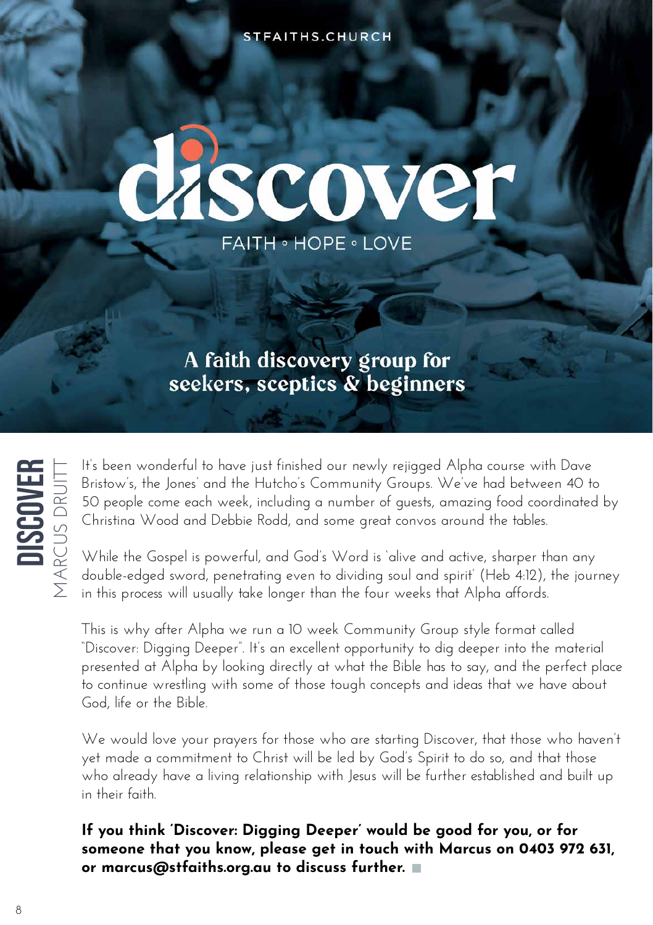STFAITHS.CHURCH

# discover **FAITH · HOPE · LOVE**

#### A faith discovery group for seekers, sceptics & beginners



It's been wonderful to have just finished our newly rejigged Alpha course with Dave Bristow's, the Jones' and the Hutcho's Community Groups. We've had between 40 to 50 people come each week, including a number of guests, amazing food coordinated by Christina Wood and Debbie Rodd, and some great convos around the tables.

While the Gospel is powerful, and God's Word is 'alive and active, sharper than any double-edged sword, penetrating even to dividing soul and spirit' (Heb 4:12), the journey in this process will usually take longer than the four weeks that Alpha affords.

This is why after Alpha we run a 10 week Community Group style format called "Discover: Digging Deeper". It's an excellent opportunity to dig deeper into the material presented at Alpha by looking directly at what the Bible has to say, and the perfect place to continue wrestling with some of those tough concepts and ideas that we have about God, life or the Bible.

We would love your prayers for those who are starting Discover, that those who haven't yet made a commitment to Christ will be led by God's Spirit to do so, and that those who already have a living relationship with Jesus will be further established and built up in their faith.

#### **If you think 'Discover: Digging Deeper' would be good for you, or for someone that you know, please get in touch with Marcus on 0403 972 631, or marcus@stfaiths.org.au to discuss further.**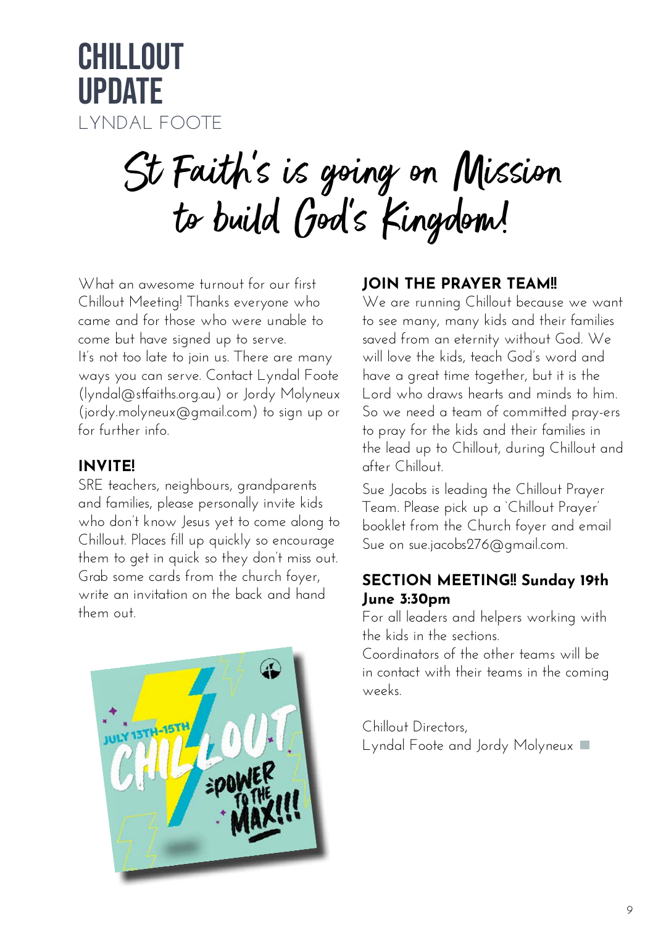

# St Faith's is going on Mission to build God's Kingdom!

What an awesome turnout for our first Chillout Meeting! Thanks everyone who came and for those who were unable to come but have signed up to serve. It's not too late to join us. There are many ways you can serve. Contact Lyndal Foote (lyndal@stfaiths.org.au) or Jordy Molyneux (jordy.molyneux@gmail.com) to sign up or for further info.

#### **INVITE!**

SRE teachers, neighbours, grandparents and families, please personally invite kids who don't know Jesus yet to come along to Chillout. Places fill up quickly so encourage them to get in quick so they don't miss out. Grab some cards from the church foyer, write an invitation on the back and hand them out.



#### **JOIN THE PRAYER TEAM!!**

We are running Chillout because we want to see many, many kids and their families saved from an eternity without God. We will love the kids, teach God's word and have a great time together, but it is the Lord who draws hearts and minds to him. So we need a team of committed pray-ers to pray for the kids and their families in the lead up to Chillout, during Chillout and after Chillout.

Sue Jacobs is leading the Chillout Prayer Team. Please pick up a 'Chillout Prayer' booklet from the Church foyer and email Sue on sue.jacobs276@gmail.com.

#### **SECTION MEETING!! Sunday 19th June 3:30pm**

For all leaders and helpers working with the kids in the sections.

Coordinators of the other teams will be in contact with their teams in the coming weeks.

Chillout Directors, Lyndal Foote and Jordy Molyneux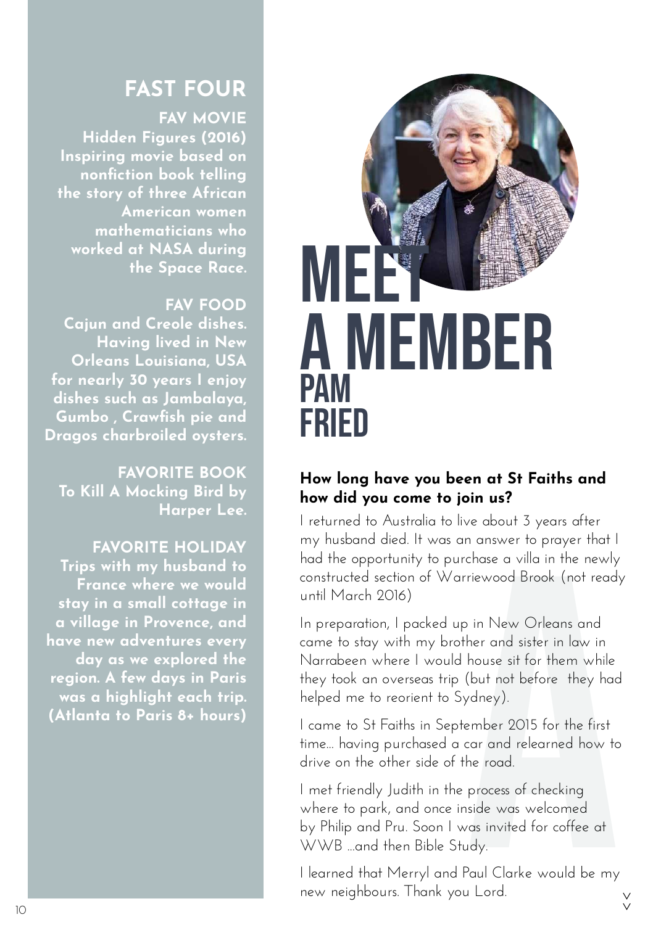#### **FAST FOUR**

#### **FAV MOVIE**

 **Hidden Figures (2016) Inspiring movie based on nonfiction book telling the story of three African American women mathematicians who worked at NASA during the Space Race.**

#### **FAV FOOD**

**Cajun and Creole dishes. Having lived in New Orleans Louisiana, USA for nearly 30 years I enjoy dishes such as Jambalaya, Gumbo , Crawfish pie and Dragos charbroiled oysters.**

**FAVORITE BOOK To Kill A Mocking Bird by Harper Lee.**

**FAVORITE HOLIDAY Trips with my husband to France where we would stay in a small cottage in a village in Provence, and have new adventures every day as we explored the region. A few days in Paris was a highlight each trip. (Atlanta to Paris 8+ hours)**



#### **How long have you been at St Faiths and how did you come to join us?**

I returned to Australia to live about 3 years after my husband died. It was an answer to prayer that I had the opportunity to purchase a villa in the newly constructed section of Warriewood Brook (not ready until March 2016)

n answer to prayer that I<br>chase a villa in the newly<br>riewood Brook (not ready<br>b in New Orleans and<br>her and sister in law in<br>house sit for them while<br>(but not before they had<br>ydney).<br>ember 2015 for the first<br>car and relearn In preparation, I packed up in New Orleans and came to stay with my brother and sister in law in Narrabeen where I would house sit for them while they took an overseas trip (but not before they had helped me to reorient to Sydney).

I came to St Faiths in September 2015 for the first time... having purchased a car and relearned how to drive on the other side of the road.

I met friendly Judith in the process of checking where to park, and once inside was welcomed by Philip and Pru. Soon I was invited for coffee at WWB ...and then Bible Study.

I learned that Merryl and Paul Clarke would be my new neighbours. Thank you Lord. >>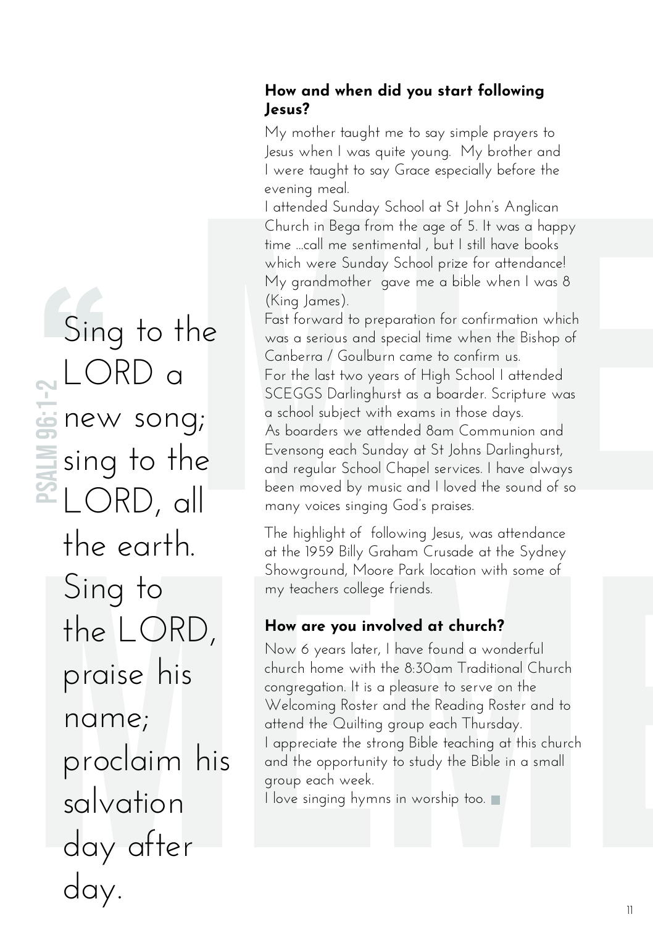#### **How and when did you start following Jesus?**

My mother taught me to say simple prayers to Jesus when I was quite young. My brother and I were taught to say Grace especially before the evening meal.

I attended Sunday School at St John's Anglican Church in Bega from the age of 5. It was a happy time ...call me sentimental , but I still have books which were Sunday School prize for attendance! My grandmother gave me a bible when I was 8 (King James).

evening med.<br>
Lattended Sunday School at St John's Anglican<br>
Church in Bega from the age of 5. It was a happy<br>
time ...call me sentimental , but I still have books<br>
which were Sunday School prize for attendance!<br>
My grandm Fast forward to preparation for confirmation which was a serious and special time when the Bishop of Canberra / Goulburn came to confirm us. For the last two years of High School I attended SCEGGS Darlinghurst as a boarder. Scripture was a school subject with exams in those days. As boarders we attended 8am Communion and Evensong each Sunday at St Johns Darlinghurst, and regular School Chapel services. I have always been moved by music and I loved the sound of so many voices singing God's praises.

The highlight of following Jesus, was attendance at the 1959 Billy Graham Crusade at the Sydney Showground, Moore Park location with some of my teachers college friends.

#### **How are you involved at church?**

Now 6 years later, I have found a wonderful church home with the 8:30am Traditional Church congregation. It is a pleasure to serve on the Welcoming Roster and the Reading Roster and to attend the Quilting group each Thursday. I appreciate the strong Bible teaching at this church and the opportunity to study the Bible in a small group each week.

I love singing hymns in worship too.

## The earth.<br>
The mismight of tollowing Jesus, was dientated<br>
Sing to<br>
Sing to<br>
The LORD, How are you involved at church?<br>
The LORD, How are you involved at church?<br>
Praise his<br>
the sydem Counter of the S30am Traditional Chu Sin<br>NLC Sing to the LORD a new song; sing to the LORD, all the earth. Sing to the LORD, praise his name; proclaim his salvation day after day. PSALM 96:1-2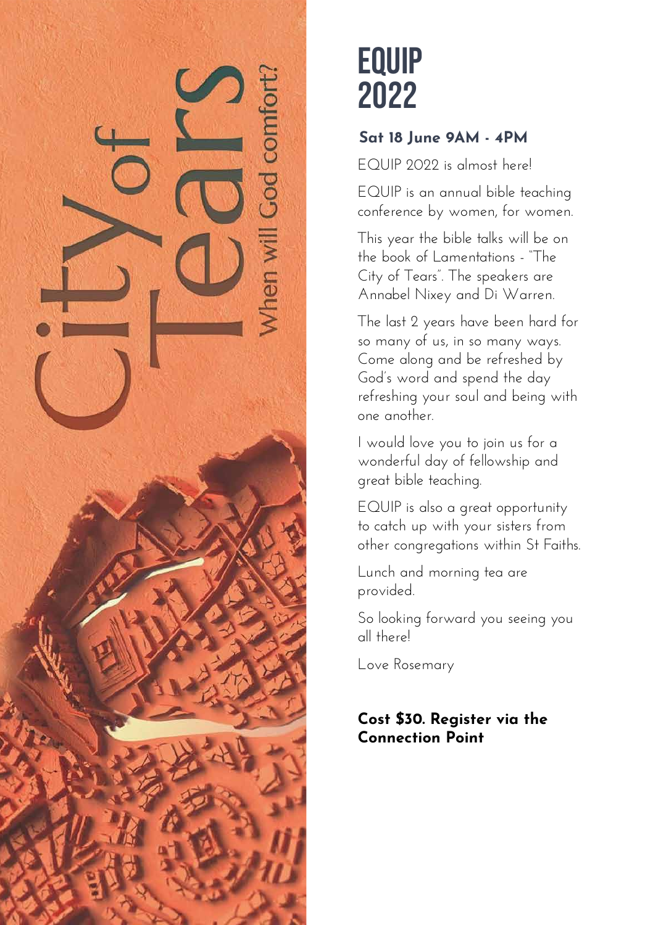

## EQUIP 2022

#### **Sat 18 June 9AM - 4PM**

EQUIP 2022 is almost here!

EQUIP is an annual bible teaching conference by women, for women.

This year the bible talks will be on the book of Lamentations - "The City of Tears". The speakers are Annabel Nixey and Di Warren.

The last 2 years have been hard for so many of us, in so many ways. Come along and be refreshed by God's word and spend the day refreshing your soul and being with one another.

I would love you to join us for a wonderful day of fellowship and great bible teaching.

EQUIP is also a great opportunity to catch up with your sisters from other congregations within St Faiths.

Lunch and morning tea are provided.

So looking forward you seeing you all there!

Love Rosemary

#### **Cost \$30. Register via the Connection Point**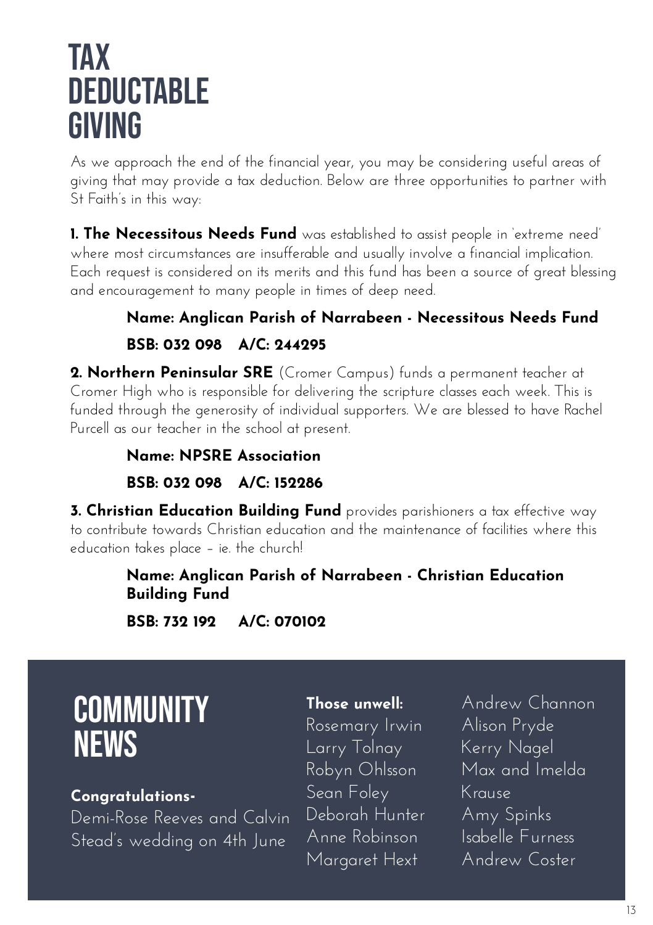## tax **DEDUCTABLE** giving

As we approach the end of the financial year, you may be considering useful areas of giving that may provide a tax deduction. Below are three opportunities to partner with St Faith's in this way:

**1. The Necessitous Needs Fund** was established to assist people in 'extreme need' where most circumstances are insufferable and usually involve a financial implication. Each request is considered on its merits and this fund has been a source of great blessing and encouragement to many people in times of deep need.

#### **Name: Anglican Parish of Narrabeen - Necessitous Needs Fund BSB: 032 098 A/C: 244295**

**2. Northern Peninsular SRE** (Cromer Campus) funds a permanent teacher at Cromer High who is responsible for delivering the scripture classes each week. This is funded through the generosity of individual supporters. We are blessed to have Rachel Purcell as our teacher in the school at present.

#### **Name: NPSRE Association BSB: 032 098 A/C: 152286**

**3. Christian Education Building Fund** provides parishioners a tax effective way to contribute towards Christian education and the maintenance of facilities where this education takes place – ie. the church!

#### **Name: Anglican Parish of Narrabeen - Christian Education Building Fund**

**BSB: 732 192 A/C: 070102** 

## **COMMUNITY NEWS**

#### **Congratulations-**

Demi-Rose Reeves and Calvin Stead's wedding on 4th June

#### **Those unwell:**

Rosemary Irwin Larry Tolnay Robyn Ohlsson Sean Foley Deborah Hunter Anne Robinson Margaret Hext

Andrew Channon Alison Pryde Kerry Nagel Max and Imelda Krause Amy Spinks Isabelle Furness Andrew Coster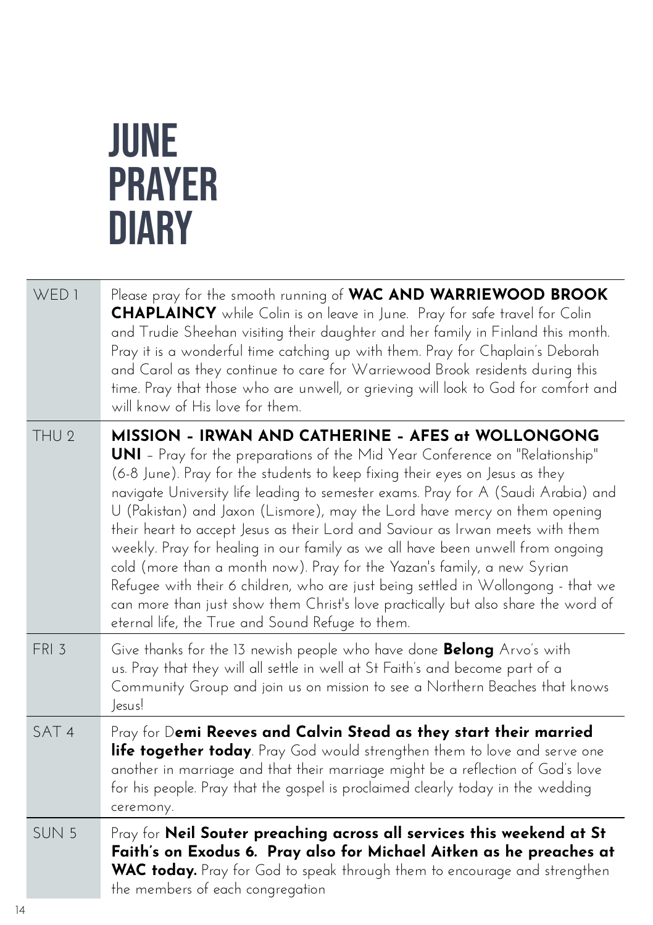## JUNE PRAYER **DIARY**

| WED <sub>1</sub> | Please pray for the smooth running of WAC AND WARRIEWOOD BROOK<br><b>CHAPLAINCY</b> while Colin is on leave in June. Pray for safe travel for Colin<br>and Trudie Sheehan visiting their daughter and her family in Finland this month.<br>Pray it is a wonderful time catching up with them. Pray for Chaplain's Deborah<br>and Carol as they continue to care for Warriewood Brook residents during this<br>time. Pray that those who are unwell, or grieving will look to God for comfort and<br>will know of His love for them.                                                                                                                                                                                                                                                                                                                                      |
|------------------|--------------------------------------------------------------------------------------------------------------------------------------------------------------------------------------------------------------------------------------------------------------------------------------------------------------------------------------------------------------------------------------------------------------------------------------------------------------------------------------------------------------------------------------------------------------------------------------------------------------------------------------------------------------------------------------------------------------------------------------------------------------------------------------------------------------------------------------------------------------------------|
| THU <sub>2</sub> | MISSION - IRWAN AND CATHERINE - AFES at WOLLONGONG<br><b>UNI</b> - Pray for the preparations of the Mid Year Conference on "Relationship"<br>(6-8 June). Pray for the students to keep fixing their eyes on Jesus as they<br>navigate University life leading to semester exams. Pray for A (Saudi Arabia) and<br>U (Pakistan) and Jaxon (Lismore), may the Lord have mercy on them opening<br>their heart to accept Jesus as their Lord and Saviour as Irwan meets with them<br>weekly. Pray for healing in our family as we all have been unwell from ongoing<br>cold (more than a month now). Pray for the Yazan's family, a new Syrian<br>Refugee with their 6 children, who are just being settled in Wollongong - that we<br>can more than just show them Christ's love practically but also share the word of<br>eternal life, the True and Sound Refuge to them. |
| FRI 3            | Give thanks for the 13 newish people who have done <b>Belong</b> Arvo's with<br>us. Pray that they will all settle in well at St Faith's and become part of a<br>Community Group and join us on mission to see a Northern Beaches that knows<br>lesus!                                                                                                                                                                                                                                                                                                                                                                                                                                                                                                                                                                                                                   |
| SAT <sub>4</sub> | Pray for Demi Reeves and Calvin Stead as they start their married<br>life together today. Pray God would strengthen them to love and serve one<br>another in marriage and that their marriage might be a reflection of God's love<br>for his people. Pray that the gospel is proclaimed clearly today in the wedding<br>ceremony.                                                                                                                                                                                                                                                                                                                                                                                                                                                                                                                                        |
| SUN <sub>5</sub> | Pray for Neil Souter preaching across all services this weekend at St<br>Faith's on Exodus 6. Pray also for Michael Aitken as he preaches at<br>WAC today. Pray for God to speak through them to encourage and strengthen<br>the members of each congregation                                                                                                                                                                                                                                                                                                                                                                                                                                                                                                                                                                                                            |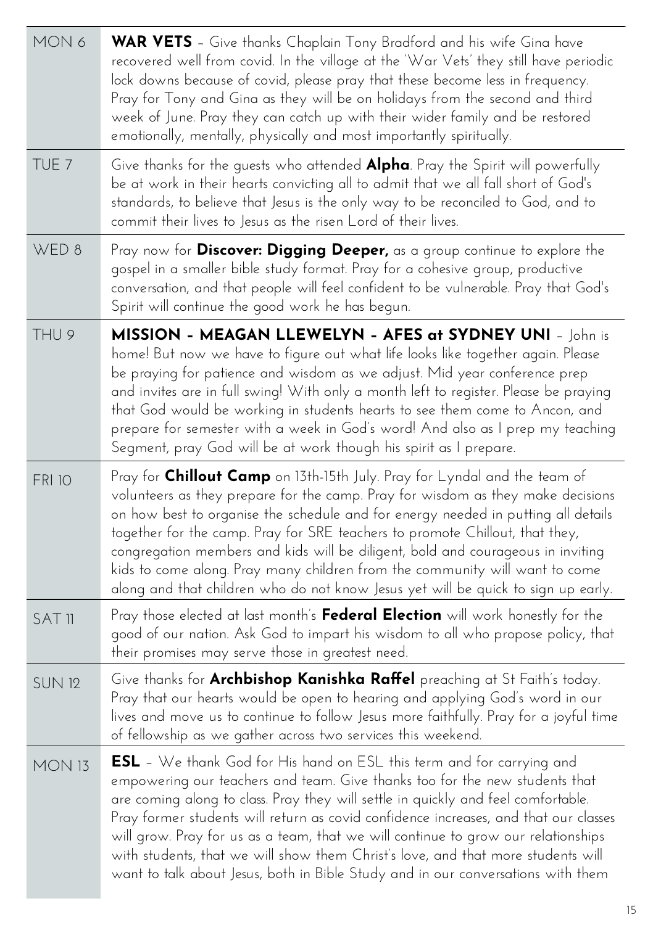| MON 6            | <b>WAR VETS</b> – Give thanks Chaplain Tony Bradford and his wife Gina have<br>recovered well from covid. In the village at the 'War Vets' they still have periodic<br>lock downs because of covid, please pray that these become less in frequency.<br>Pray for Tony and Gina as they will be on holidays from the second and third<br>week of June. Pray they can catch up with their wider family and be restored<br>emotionally, mentally, physically and most importantly spiritually.                                                                                                           |
|------------------|-------------------------------------------------------------------------------------------------------------------------------------------------------------------------------------------------------------------------------------------------------------------------------------------------------------------------------------------------------------------------------------------------------------------------------------------------------------------------------------------------------------------------------------------------------------------------------------------------------|
| TUE <sub>7</sub> | Give thanks for the guests who attended <b>Alpha</b> . Pray the Spirit will powerfully<br>be at work in their hearts convicting all to admit that we all fall short of God's<br>standards, to believe that Jesus is the only way to be reconciled to God, and to<br>commit their lives to Jesus as the risen Lord of their lives.                                                                                                                                                                                                                                                                     |
| WED 8            | Pray now for Discover: Digging Deeper, as a group continue to explore the<br>gospel in a smaller bible study format. Pray for a cohesive group, productive<br>conversation, and that people will feel confident to be vulnerable. Pray that God's<br>Spirit will continue the good work he has begun.                                                                                                                                                                                                                                                                                                 |
| THU 9            | MISSION - MEAGAN LLEWELYN - AFES at SYDNEY UNI - John is<br>home! But now we have to figure out what life looks like together again. Please<br>be praying for patience and wisdom as we adjust. Mid year conference prep<br>and invites are in full swing! With only a month left to register. Please be praying<br>that God would be working in students hearts to see them come to Ancon, and<br>prepare for semester with a week in God's word! And also as I prep my teaching<br>Segment, pray God will be at work though his spirit as I prepare.                                                |
| <b>FRI 10</b>    | Pray for Chillout Camp on 13th-15th July. Pray for Lyndal and the team of<br>volunteers as they prepare for the camp. Pray for wisdom as they make decisions<br>on how best to organise the schedule and for energy needed in putting all details<br>together for the camp. Pray for SRE teachers to promote Chillout, that they,<br>congregation members and kids will be diligent, bold and courageous in inviting<br>kids to come along. Pray many children from the community will want to come<br>along and that children who do not know Jesus yet will be quick to sign up early.              |
| <b>SAT II</b>    | Pray those elected at last month's Federal Election will work honestly for the<br>good of our nation. Ask God to impart his wisdom to all who propose policy, that<br>their promises may serve those in greatest need.                                                                                                                                                                                                                                                                                                                                                                                |
| <b>SUN 12</b>    | Give thanks for Archbishop Kanishka Raffel preaching at St Faith's today.<br>Pray that our hearts would be open to hearing and applying God's word in our<br>lives and move us to continue to follow Jesus more faithfully. Pray for a joyful time<br>of fellowship as we gather across two services this weekend.                                                                                                                                                                                                                                                                                    |
| <b>MON 13</b>    | <b>ESL</b> - We thank God for His hand on ESL this term and for carrying and<br>empowering our teachers and team. Give thanks too for the new students that<br>are coming along to class. Pray they will settle in quickly and feel comfortable.<br>Pray former students will return as covid confidence increases, and that our classes<br>will grow. Pray for us as a team, that we will continue to grow our relationships<br>with students, that we will show them Christ's love, and that more students will<br>want to talk about Jesus, both in Bible Study and in our conversations with them |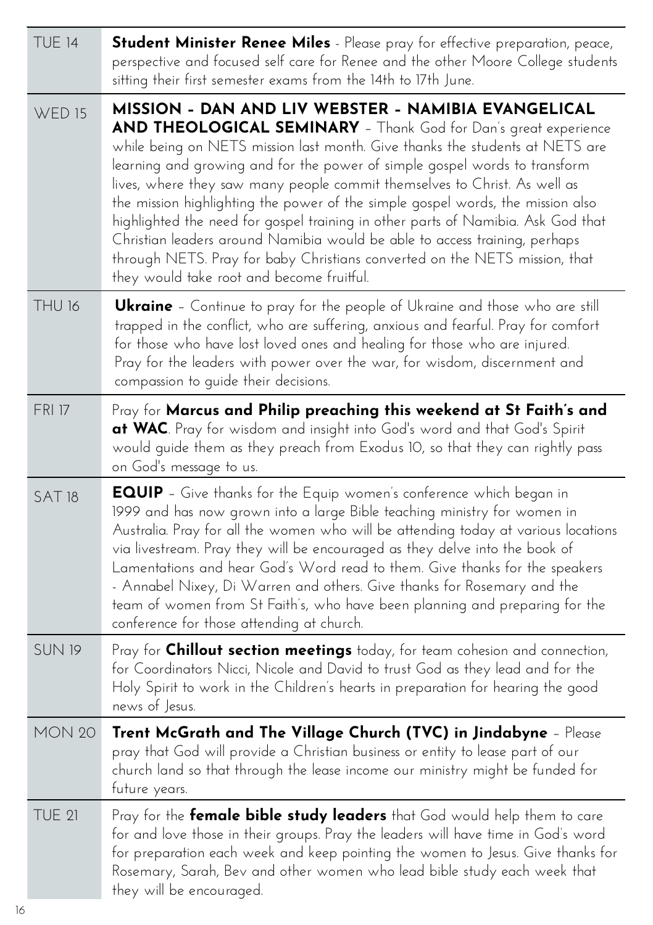| <b>TUE 14</b> | Student Minister Renee Miles - Please pray for effective preparation, peace,<br>perspective and focused self care for Renee and the other Moore College students<br>sitting their first semester exams from the 14th to 17th June.                                                                                                                                                                                                                                                                                                                                                                                                                                                                                                                |
|---------------|---------------------------------------------------------------------------------------------------------------------------------------------------------------------------------------------------------------------------------------------------------------------------------------------------------------------------------------------------------------------------------------------------------------------------------------------------------------------------------------------------------------------------------------------------------------------------------------------------------------------------------------------------------------------------------------------------------------------------------------------------|
| <b>WED 15</b> | MISSION - DAN AND LIV WEBSTER - NAMIBIA EVANGELICAL<br>AND THEOLOGICAL SEMINARY - Thank God for Dan's great experience<br>while being on NETS mission last month. Give thanks the students at NETS are<br>learning and growing and for the power of simple gospel words to transform<br>lives, where they saw many people commit themselves to Christ. As well as<br>the mission highlighting the power of the simple gospel words, the mission also<br>highlighted the need for gospel training in other parts of Namibia. Ask God that<br>Christian leaders around Namibia would be able to access training, perhaps<br>through NETS. Pray for baby Christians converted on the NETS mission, that<br>they would take root and become fruitful. |
| THU 16        | <b>Ukraine</b> – Continue to pray for the people of Ukraine and those who are still<br>trapped in the conflict, who are suffering, anxious and fearful. Pray for comfort<br>for those who have lost loved ones and healing for those who are injured.<br>Pray for the leaders with power over the war, for wisdom, discernment and<br>compassion to quide their decisions.                                                                                                                                                                                                                                                                                                                                                                        |
| <b>FRI 17</b> | Pray for Marcus and Philip preaching this weekend at St Faith's and<br>at WAC. Pray for wisdom and insight into God's word and that God's Spirit<br>would guide them as they preach from Exodus 10, so that they can rightly pass<br>on God's message to us.                                                                                                                                                                                                                                                                                                                                                                                                                                                                                      |
| <b>SAT18</b>  | <b>EQUIP</b> - Give thanks for the Equip women's conference which began in<br>1999 and has now grown into a large Bible teaching ministry for women in<br>Australia. Pray for all the women who will be attending today at various locations<br>via livestream. Pray they will be encouraged as they delve into the book of<br>Lamentations and hear God's Word read to them. Give thanks for the speakers<br>- Annabel Nixey, Di Warren and others. Give thanks for Rosemary and the<br>team of women from St Faith's, who have been planning and preparing for the<br>conference for those attending at church.                                                                                                                                 |
| <b>SUN 19</b> | Pray for <b>Chillout section meetings</b> today, for team cohesion and connection,<br>for Coordinators Nicci, Nicole and David to trust God as they lead and for the<br>Holy Spirit to work in the Children's hearts in preparation for hearing the good<br>news of Jesus.                                                                                                                                                                                                                                                                                                                                                                                                                                                                        |
| <b>MON 20</b> | Trent McGrath and The Village Church (TVC) in Jindabyne – Please<br>pray that God will provide a Christian business or entity to lease part of our<br>church land so that through the lease income our ministry might be funded for<br>future years.                                                                                                                                                                                                                                                                                                                                                                                                                                                                                              |
| <b>TUE 21</b> | Pray for the <b>female bible study leaders</b> that God would help them to care<br>for and love those in their groups. Pray the leaders will have time in God's word<br>for preparation each week and keep pointing the women to Jesus. Give thanks for<br>Rosemary, Sarah, Bev and other women who lead bible study each week that<br>they will be encouraged.                                                                                                                                                                                                                                                                                                                                                                                   |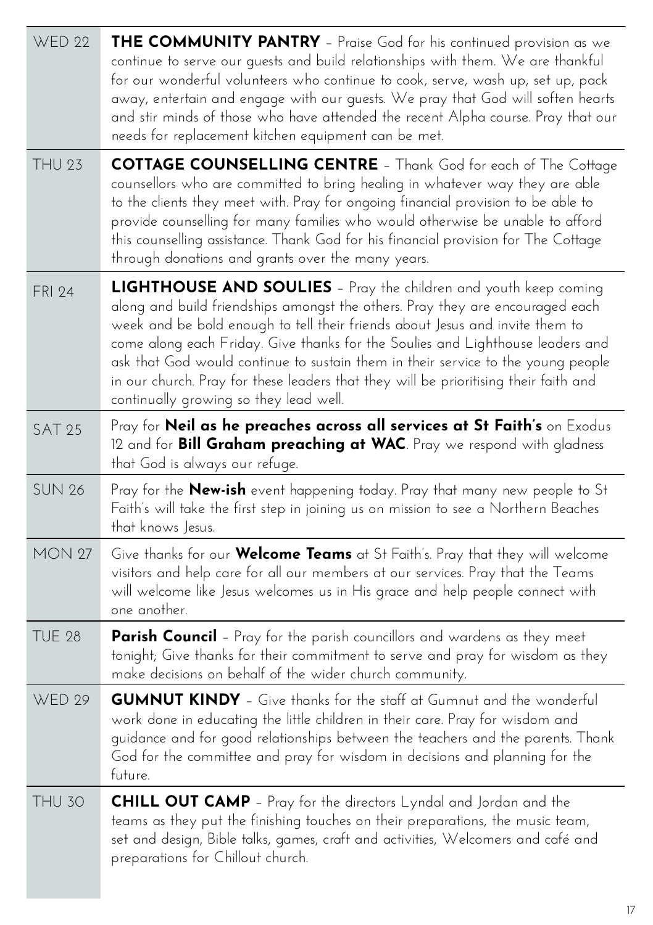| <b>WED 22</b> | THE COMMUNITY PANTRY - Praise God for his continued provision as we<br>continue to serve our guests and build relationships with them. We are thankful<br>for our wonderful volunteers who continue to cook, serve, wash up, set up, pack<br>away, entertain and engage with our guests. We pray that God will soften hearts<br>and stir minds of those who have attended the recent Alpha course. Pray that our<br>needs for replacement kitchen equipment can be met.                                                                          |
|---------------|--------------------------------------------------------------------------------------------------------------------------------------------------------------------------------------------------------------------------------------------------------------------------------------------------------------------------------------------------------------------------------------------------------------------------------------------------------------------------------------------------------------------------------------------------|
| <b>THU 23</b> | <b>COTTAGE COUNSELLING CENTRE</b> - Thank God for each of The Cottage<br>counsellors who are committed to bring healing in whatever way they are able<br>to the clients they meet with. Pray for ongoing financial provision to be able to<br>provide counselling for many families who would otherwise be unable to afford<br>this counselling assistance. Thank God for his financial provision for The Cottage<br>through donations and grants over the many years.                                                                           |
| <b>FRI 24</b> | <b>LIGHTHOUSE AND SOULIES</b> - Pray the children and youth keep coming<br>along and build friendships amongst the others. Pray they are encouraged each<br>week and be bold enough to tell their friends about Jesus and invite them to<br>come along each Friday. Give thanks for the Soulies and Lighthouse leaders and<br>ask that God would continue to sustain them in their service to the young people<br>in our church. Pray for these leaders that they will be prioritising their faith and<br>continually growing so they lead well. |
| <b>SAT 25</b> | Pray for Neil as he preaches across all services at St Faith's on Exodus<br>12 and for <b>Bill Graham preaching at WAC</b> . Pray we respond with gladness<br>that God is always our refuge.                                                                                                                                                                                                                                                                                                                                                     |
| <b>SUN 26</b> | Pray for the <b>New-ish</b> event happening today. Pray that many new people to St<br>Faith's will take the first step in joining us on mission to see a Northern Beaches<br>that knows Jesus.                                                                                                                                                                                                                                                                                                                                                   |
| <b>MON 27</b> | Give thanks for our <b>Welcome Teams</b> at St Faith's. Pray that they will welcome<br>visitors and help care for all our members at our services. Pray that the Teams<br>will welcome like Jesus welcomes us in His grace and help people connect with<br>one another.                                                                                                                                                                                                                                                                          |
| <b>TUE 28</b> | <b>Parish Council</b> - Pray for the parish councillors and wardens as they meet<br>tonight; Give thanks for their commitment to serve and pray for wisdom as they<br>make decisions on behalf of the wider church community.                                                                                                                                                                                                                                                                                                                    |
| <b>WED 29</b> | <b>GUMNUT KINDY</b> - Give thanks for the staff at Gumnut and the wonderful<br>work done in educating the little children in their care. Pray for wisdom and<br>guidance and for good relationships between the teachers and the parents. Thank<br>God for the committee and pray for wisdom in decisions and planning for the<br>future.                                                                                                                                                                                                        |
| <b>THU 30</b> | <b>CHILL OUT CAMP</b> - Pray for the directors Lyndal and Jordan and the<br>teams as they put the finishing touches on their preparations, the music team,<br>set and design, Bible talks, games, craft and activities, Welcomers and café and<br>preparations for Chillout church.                                                                                                                                                                                                                                                              |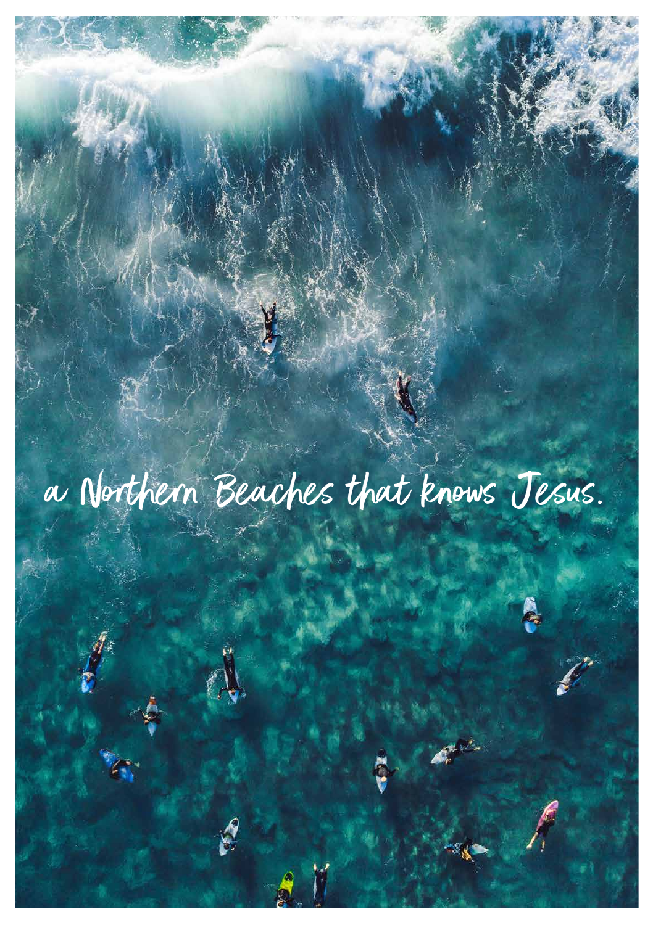a Northern Beaches that knows Jesus.

18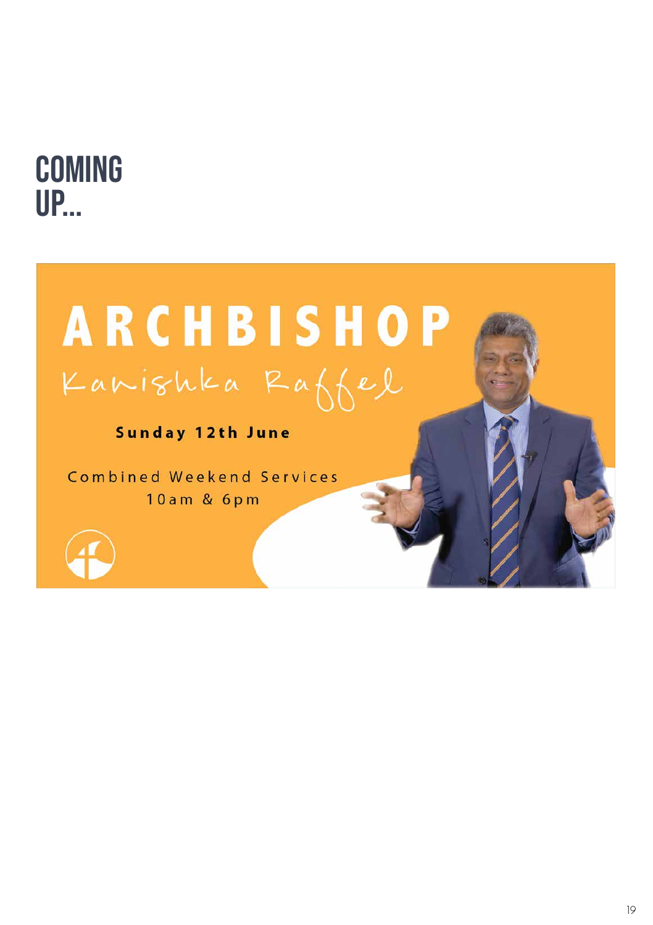

# **ARCHBISHOP** Kanishka Raffel

Sunday 12th June

Combined Weekend Services 10am & 6pm